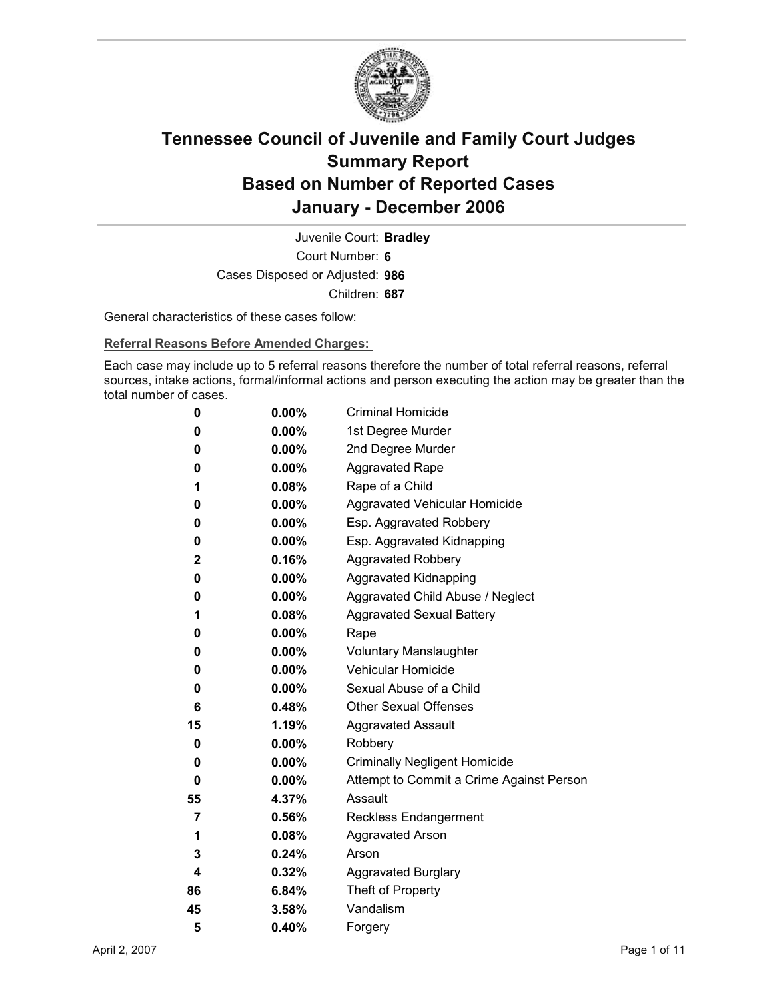

Court Number: **6** Juvenile Court: **Bradley** Cases Disposed or Adjusted: **986** Children: **687**

General characteristics of these cases follow:

**Referral Reasons Before Amended Charges:** 

Each case may include up to 5 referral reasons therefore the number of total referral reasons, referral sources, intake actions, formal/informal actions and person executing the action may be greater than the total number of cases.

| 0            | $0.00\%$ | <b>Criminal Homicide</b>                 |
|--------------|----------|------------------------------------------|
| 0            | $0.00\%$ | 1st Degree Murder                        |
| 0            | $0.00\%$ | 2nd Degree Murder                        |
| 0            | $0.00\%$ | <b>Aggravated Rape</b>                   |
| 1            | 0.08%    | Rape of a Child                          |
| 0            | $0.00\%$ | Aggravated Vehicular Homicide            |
| 0            | $0.00\%$ | Esp. Aggravated Robbery                  |
| 0            | $0.00\%$ | Esp. Aggravated Kidnapping               |
| $\mathbf{2}$ | 0.16%    | <b>Aggravated Robbery</b>                |
| 0            | $0.00\%$ | <b>Aggravated Kidnapping</b>             |
| 0            | $0.00\%$ | Aggravated Child Abuse / Neglect         |
| 1            | $0.08\%$ | <b>Aggravated Sexual Battery</b>         |
| 0            | $0.00\%$ | Rape                                     |
| 0            | $0.00\%$ | <b>Voluntary Manslaughter</b>            |
| 0            | $0.00\%$ | <b>Vehicular Homicide</b>                |
| 0            | $0.00\%$ | Sexual Abuse of a Child                  |
| 6            | $0.48\%$ | <b>Other Sexual Offenses</b>             |
| 15           | 1.19%    | <b>Aggravated Assault</b>                |
| 0            | $0.00\%$ | Robbery                                  |
| 0            | $0.00\%$ | <b>Criminally Negligent Homicide</b>     |
| 0            | $0.00\%$ | Attempt to Commit a Crime Against Person |
| 55           | 4.37%    | Assault                                  |
| 7            | 0.56%    | <b>Reckless Endangerment</b>             |
| 1            | $0.08\%$ | <b>Aggravated Arson</b>                  |
| 3            | 0.24%    | Arson                                    |
| 4            | 0.32%    | <b>Aggravated Burglary</b>               |
| 86           | 6.84%    | Theft of Property                        |
| 45           | $3.58\%$ | Vandalism                                |
| 5            | 0.40%    | Forgery                                  |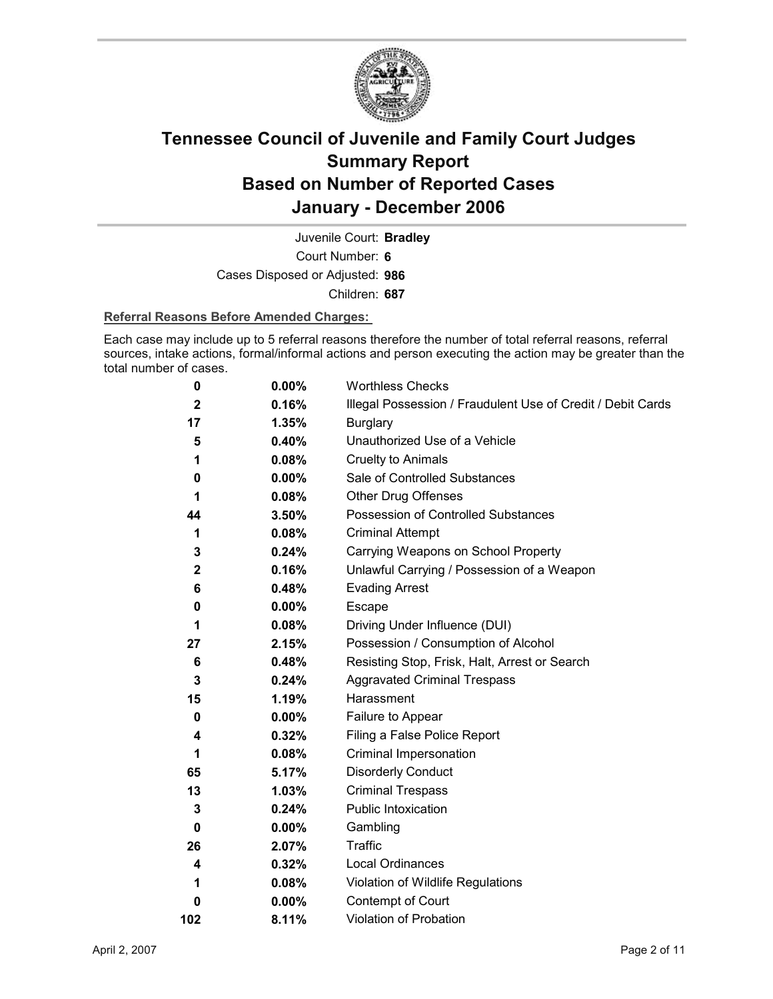

Court Number: **6** Juvenile Court: **Bradley** Cases Disposed or Adjusted: **986**

Children: **687**

### **Referral Reasons Before Amended Charges:**

Each case may include up to 5 referral reasons therefore the number of total referral reasons, referral sources, intake actions, formal/informal actions and person executing the action may be greater than the total number of cases.

| 0            | 0.00%    | <b>Worthless Checks</b>                                     |
|--------------|----------|-------------------------------------------------------------|
| $\mathbf 2$  | 0.16%    | Illegal Possession / Fraudulent Use of Credit / Debit Cards |
| 17           | 1.35%    | <b>Burglary</b>                                             |
| 5            | 0.40%    | Unauthorized Use of a Vehicle                               |
| 1            | 0.08%    | <b>Cruelty to Animals</b>                                   |
| 0            | $0.00\%$ | Sale of Controlled Substances                               |
| 1            | 0.08%    | <b>Other Drug Offenses</b>                                  |
| 44           | 3.50%    | Possession of Controlled Substances                         |
| 1            | 0.08%    | <b>Criminal Attempt</b>                                     |
| 3            | 0.24%    | Carrying Weapons on School Property                         |
| $\mathbf{2}$ | 0.16%    | Unlawful Carrying / Possession of a Weapon                  |
| 6            | 0.48%    | <b>Evading Arrest</b>                                       |
| 0            | $0.00\%$ | Escape                                                      |
| 1            | 0.08%    | Driving Under Influence (DUI)                               |
| 27           | 2.15%    | Possession / Consumption of Alcohol                         |
| 6            | 0.48%    | Resisting Stop, Frisk, Halt, Arrest or Search               |
| $\mathbf{3}$ | 0.24%    | <b>Aggravated Criminal Trespass</b>                         |
| 15           | 1.19%    | Harassment                                                  |
| 0            | $0.00\%$ | Failure to Appear                                           |
| 4            | 0.32%    | Filing a False Police Report                                |
| 1            | 0.08%    | Criminal Impersonation                                      |
| 65           | 5.17%    | <b>Disorderly Conduct</b>                                   |
| 13           | 1.03%    | <b>Criminal Trespass</b>                                    |
| 3            | 0.24%    | <b>Public Intoxication</b>                                  |
| 0            | $0.00\%$ | Gambling                                                    |
| 26           | 2.07%    | <b>Traffic</b>                                              |
| 4            | 0.32%    | Local Ordinances                                            |
| 1            | 0.08%    | Violation of Wildlife Regulations                           |
| 0            | $0.00\%$ | Contempt of Court                                           |
| 102          | 8.11%    | Violation of Probation                                      |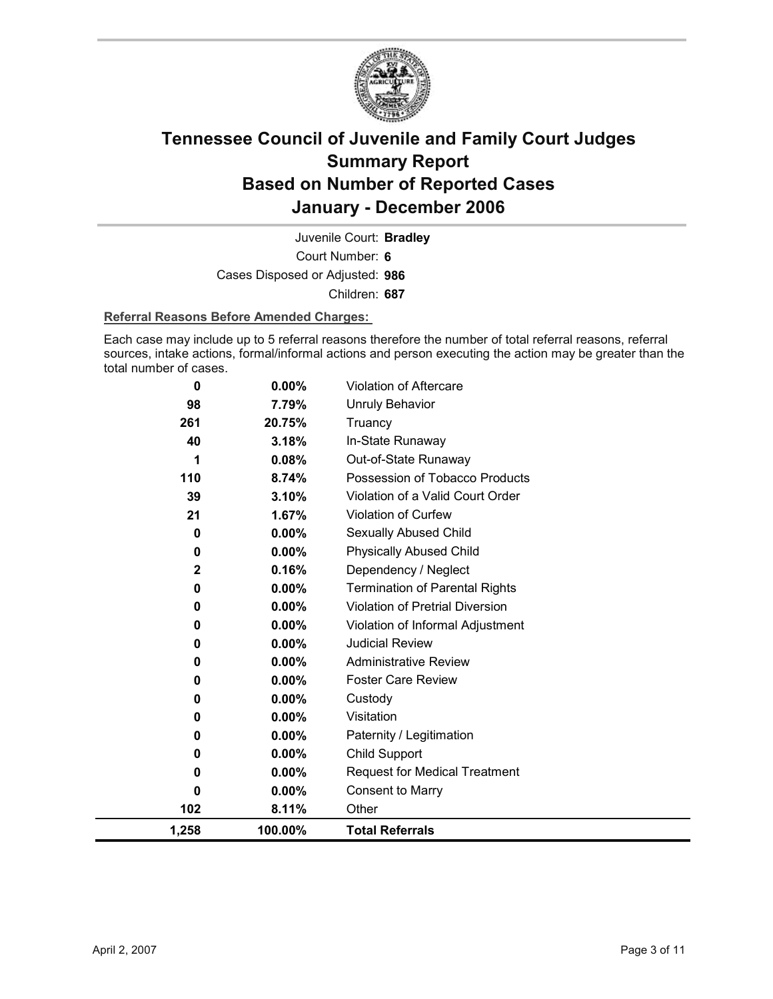

Court Number: **6** Juvenile Court: **Bradley** Cases Disposed or Adjusted: **986** Children: **687**

### **Referral Reasons Before Amended Charges:**

Each case may include up to 5 referral reasons therefore the number of total referral reasons, referral sources, intake actions, formal/informal actions and person executing the action may be greater than the total number of cases.

| 0           | 0.00%    | <b>Violation of Aftercare</b>         |
|-------------|----------|---------------------------------------|
| 98          | 7.79%    | <b>Unruly Behavior</b>                |
| 261         | 20.75%   | Truancy                               |
| 40          | 3.18%    | In-State Runaway                      |
| 1           | 0.08%    | Out-of-State Runaway                  |
| 110         | 8.74%    | Possession of Tobacco Products        |
| 39          | 3.10%    | Violation of a Valid Court Order      |
| 21          | 1.67%    | Violation of Curfew                   |
| 0           | 0.00%    | Sexually Abused Child                 |
| 0           | $0.00\%$ | <b>Physically Abused Child</b>        |
| $\mathbf 2$ | 0.16%    | Dependency / Neglect                  |
| 0           | 0.00%    | <b>Termination of Parental Rights</b> |
| 0           | 0.00%    | Violation of Pretrial Diversion       |
| 0           | 0.00%    | Violation of Informal Adjustment      |
| 0           | 0.00%    | <b>Judicial Review</b>                |
| 0           | 0.00%    | <b>Administrative Review</b>          |
| 0           | $0.00\%$ | <b>Foster Care Review</b>             |
| 0           | $0.00\%$ | Custody                               |
| 0           | 0.00%    | Visitation                            |
| 0           | 0.00%    | Paternity / Legitimation              |
| 0           | $0.00\%$ | Child Support                         |
| 0           | $0.00\%$ | <b>Request for Medical Treatment</b>  |
| 0           | $0.00\%$ | <b>Consent to Marry</b>               |
| 102         | 8.11%    | Other                                 |
| 1,258       | 100.00%  | <b>Total Referrals</b>                |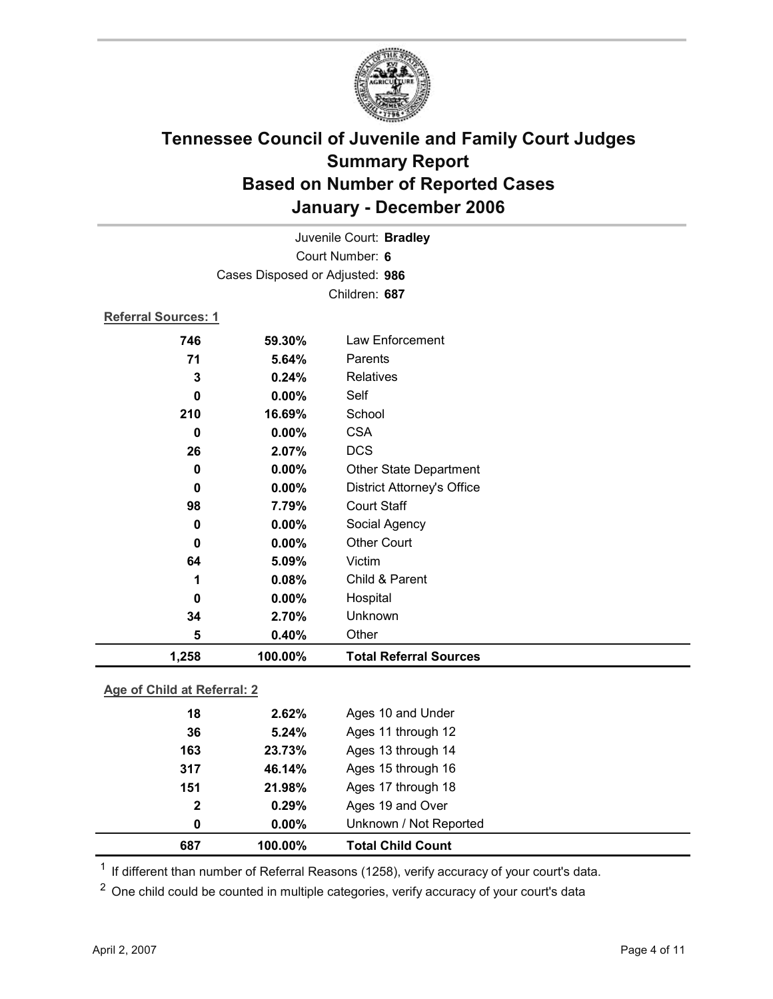

| Juvenile Court: Bradley    |                                 |                                   |
|----------------------------|---------------------------------|-----------------------------------|
| Court Number: 6            |                                 |                                   |
|                            | Cases Disposed or Adjusted: 986 |                                   |
|                            |                                 | Children: 687                     |
| <b>Referral Sources: 1</b> |                                 |                                   |
| 746                        | 59.30%                          | Law Enforcement                   |
| 71                         | 5.64%                           | Parents                           |
| 3                          | 0.24%                           | Relatives                         |
| 0                          | 0.00%                           | Self                              |
| 210                        | 16.69%                          | School                            |
| $\mathbf 0$                | 0.00%                           | <b>CSA</b>                        |
| 26                         | 2.07%                           | <b>DCS</b>                        |
| 0                          | 0.00%                           | <b>Other State Department</b>     |
| $\bf{0}$                   | 0.00%                           | <b>District Attorney's Office</b> |
| 98                         | 7.79%                           | <b>Court Staff</b>                |
| $\mathbf 0$                | 0.00%                           | Social Agency                     |
| $\bf{0}$                   | $0.00\%$                        | <b>Other Court</b>                |
| 64                         | 5.09%                           | Victim                            |
| 1                          | 0.08%                           | Child & Parent                    |
| 0                          | 0.00%                           | Hospital                          |
| 34                         | 2.70%                           | Unknown                           |
| 5                          | 0.40%                           | Other                             |
| 1,258                      | 100.00%                         | <b>Total Referral Sources</b>     |
|                            |                                 |                                   |

### **Age of Child at Referral: 2**

| 687          | 100.00%  | <b>Total Child Count</b> |
|--------------|----------|--------------------------|
| 0            | $0.00\%$ | Unknown / Not Reported   |
| $\mathbf{2}$ | 0.29%    | Ages 19 and Over         |
| 151          | 21.98%   | Ages 17 through 18       |
| 317          | 46.14%   | Ages 15 through 16       |
| 163          | 23.73%   | Ages 13 through 14       |
| 36           | 5.24%    | Ages 11 through 12       |
| 18           | 2.62%    | Ages 10 and Under        |
|              |          |                          |

 $1$  If different than number of Referral Reasons (1258), verify accuracy of your court's data.

<sup>2</sup> One child could be counted in multiple categories, verify accuracy of your court's data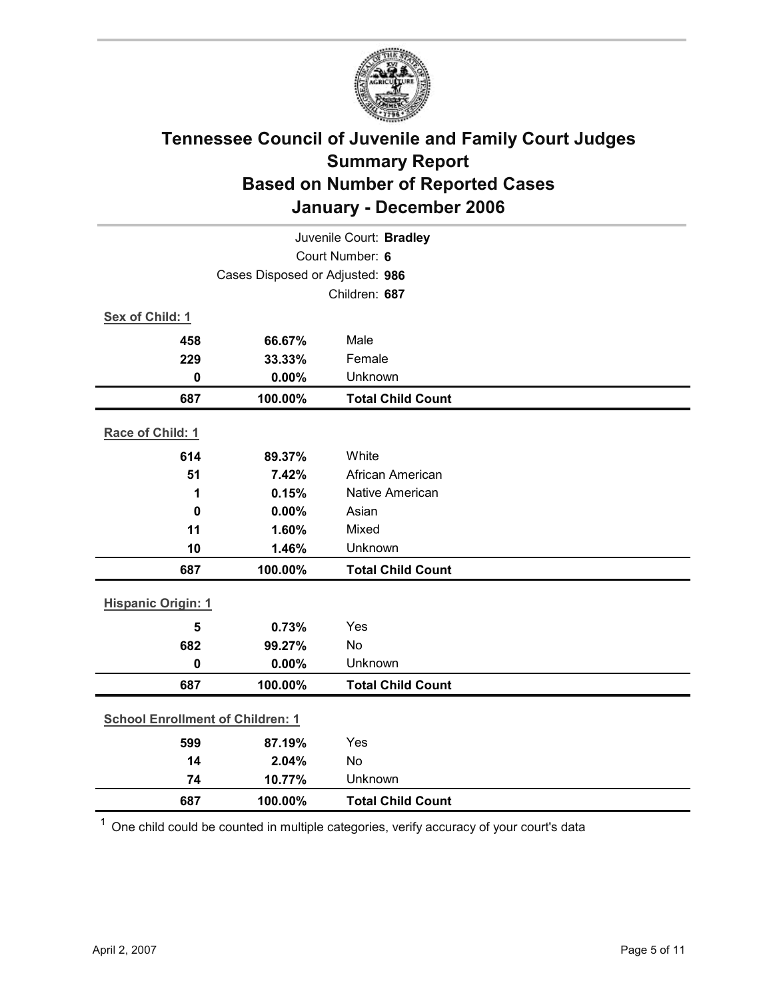

| Juvenile Court: Bradley                 |                                 |                          |  |  |
|-----------------------------------------|---------------------------------|--------------------------|--|--|
| Court Number: 6                         |                                 |                          |  |  |
|                                         | Cases Disposed or Adjusted: 986 |                          |  |  |
|                                         |                                 | Children: 687            |  |  |
| Sex of Child: 1                         |                                 |                          |  |  |
| 458                                     | 66.67%                          | Male                     |  |  |
| 229                                     | 33.33%                          | Female                   |  |  |
| $\mathbf 0$                             | 0.00%                           | Unknown                  |  |  |
| 687                                     | 100.00%                         | <b>Total Child Count</b> |  |  |
| Race of Child: 1                        |                                 |                          |  |  |
| 614                                     | 89.37%                          | White                    |  |  |
| 51                                      | 7.42%                           | African American         |  |  |
| 1                                       | 0.15%                           | <b>Native American</b>   |  |  |
| 0                                       | 0.00%                           | Asian                    |  |  |
| 11                                      | 1.60%                           | Mixed                    |  |  |
| 10                                      | 1.46%                           | Unknown                  |  |  |
| 687                                     | 100.00%                         | <b>Total Child Count</b> |  |  |
| <b>Hispanic Origin: 1</b>               |                                 |                          |  |  |
| 5                                       | 0.73%                           | Yes                      |  |  |
| 682                                     | 99.27%                          | No                       |  |  |
| $\mathbf 0$                             | 0.00%                           | Unknown                  |  |  |
| 687                                     | 100.00%                         | <b>Total Child Count</b> |  |  |
| <b>School Enrollment of Children: 1</b> |                                 |                          |  |  |
| 599                                     | 87.19%                          | Yes                      |  |  |
| 14                                      | 2.04%                           | No                       |  |  |
| 74                                      | 10.77%                          | Unknown                  |  |  |
| 687                                     | 100.00%                         | <b>Total Child Count</b> |  |  |

 $1$  One child could be counted in multiple categories, verify accuracy of your court's data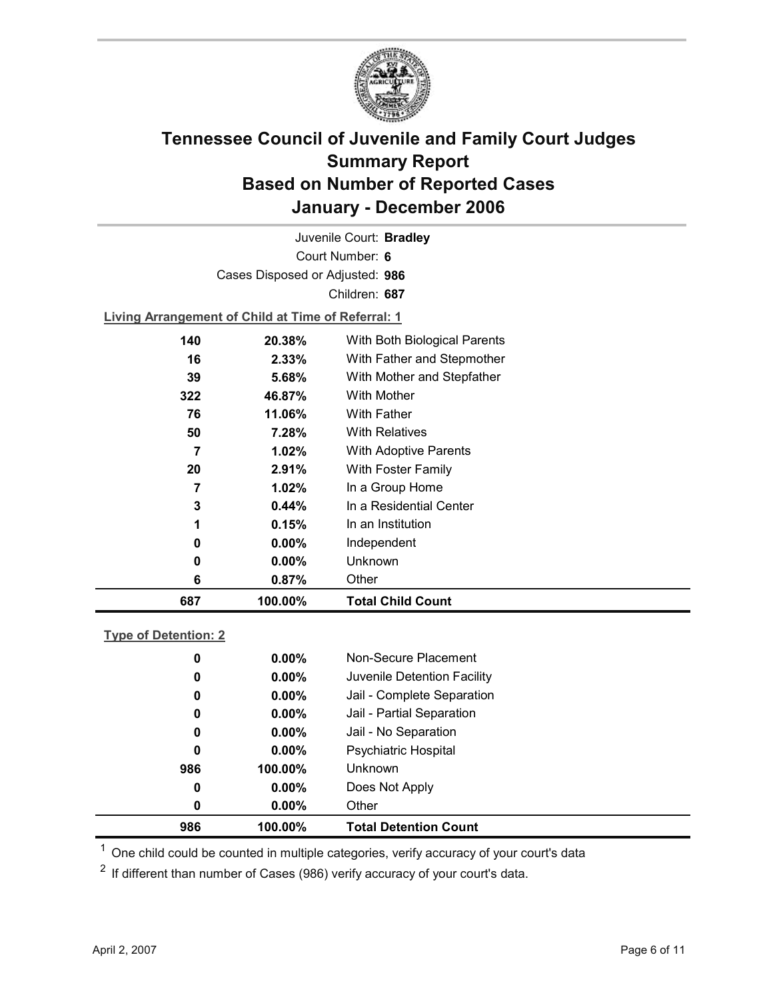

Court Number: **6** Juvenile Court: **Bradley** Cases Disposed or Adjusted: **986** Children: **687**

**Living Arrangement of Child at Time of Referral: 1**

| 687 | 100.00%  | <b>Total Child Count</b>     |
|-----|----------|------------------------------|
| 6   | 0.87%    | Other                        |
| 0   | $0.00\%$ | Unknown                      |
| 0   | $0.00\%$ | Independent                  |
| 1   | 0.15%    | In an Institution            |
| 3   | $0.44\%$ | In a Residential Center      |
| 7   | $1.02\%$ | In a Group Home              |
| 20  | 2.91%    | With Foster Family           |
| 7   | 1.02%    | <b>With Adoptive Parents</b> |
| 50  | 7.28%    | <b>With Relatives</b>        |
| 76  | 11.06%   | <b>With Father</b>           |
| 322 | 46.87%   | With Mother                  |
| 39  | 5.68%    | With Mother and Stepfather   |
| 16  | 2.33%    | With Father and Stepmother   |
| 140 | 20.38%   | With Both Biological Parents |
|     |          |                              |

### **Type of Detention: 2**

| 986 | 100.00%  | <b>Total Detention Count</b> |  |
|-----|----------|------------------------------|--|
| 0   | $0.00\%$ | Other                        |  |
| 0   | $0.00\%$ | Does Not Apply               |  |
| 986 | 100.00%  | <b>Unknown</b>               |  |
| 0   | $0.00\%$ | <b>Psychiatric Hospital</b>  |  |
| 0   | $0.00\%$ | Jail - No Separation         |  |
| 0   | $0.00\%$ | Jail - Partial Separation    |  |
| 0   | $0.00\%$ | Jail - Complete Separation   |  |
| 0   | $0.00\%$ | Juvenile Detention Facility  |  |
| 0   | $0.00\%$ | Non-Secure Placement         |  |
|     |          |                              |  |

 $<sup>1</sup>$  One child could be counted in multiple categories, verify accuracy of your court's data</sup>

 $2$  If different than number of Cases (986) verify accuracy of your court's data.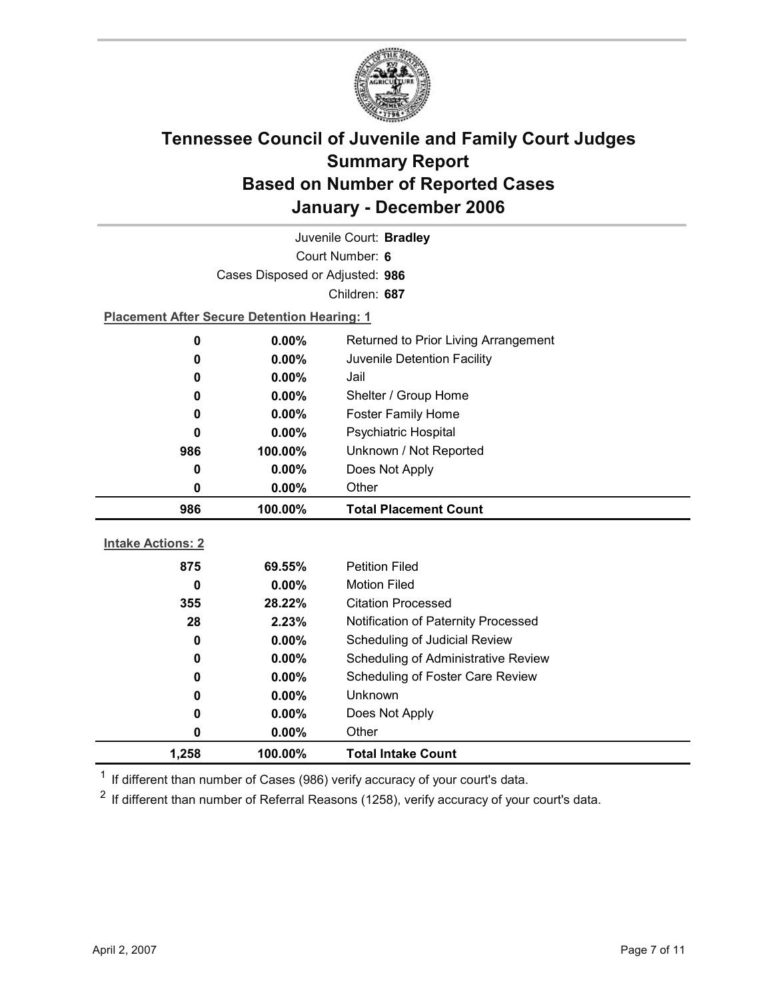

| Juvenile Court: Bradley  |                                                    |                                            |  |  |
|--------------------------|----------------------------------------------------|--------------------------------------------|--|--|
| Court Number: 6          |                                                    |                                            |  |  |
|                          | Cases Disposed or Adjusted: 986                    |                                            |  |  |
|                          |                                                    | Children: 687                              |  |  |
|                          | <b>Placement After Secure Detention Hearing: 1</b> |                                            |  |  |
| 0                        | $0.00\%$                                           | Returned to Prior Living Arrangement       |  |  |
| 0                        | 0.00%                                              | Juvenile Detention Facility                |  |  |
| 0                        | 0.00%                                              | Jail                                       |  |  |
| 0                        | $0.00\%$                                           | Shelter / Group Home                       |  |  |
| 0                        | 0.00%                                              | <b>Foster Family Home</b>                  |  |  |
| 0                        | $0.00\%$                                           | Psychiatric Hospital                       |  |  |
| 986                      | 100.00%                                            | Unknown / Not Reported                     |  |  |
| 0                        | 0.00%                                              | Does Not Apply                             |  |  |
| 0                        | $0.00\%$                                           | Other                                      |  |  |
|                          |                                                    |                                            |  |  |
| 986                      | 100.00%                                            | <b>Total Placement Count</b>               |  |  |
|                          |                                                    |                                            |  |  |
| <b>Intake Actions: 2</b> |                                                    |                                            |  |  |
| 875                      | 69.55%                                             | <b>Petition Filed</b>                      |  |  |
| 0                        | 0.00%                                              | <b>Motion Filed</b>                        |  |  |
| 355                      | 28.22%                                             | <b>Citation Processed</b>                  |  |  |
| 28                       | 2.23%                                              | Notification of Paternity Processed        |  |  |
| $\mathbf 0$              | 0.00%                                              | Scheduling of Judicial Review              |  |  |
| 0                        | $0.00\%$                                           | <b>Scheduling of Administrative Review</b> |  |  |
| 0                        | 0.00%                                              | Scheduling of Foster Care Review           |  |  |
| 0                        | 0.00%                                              | Unknown                                    |  |  |
| 0                        | $0.00\%$                                           | Does Not Apply                             |  |  |
| 0<br>1,258               | 0.00%<br>100.00%                                   | Other<br><b>Total Intake Count</b>         |  |  |

 $1$  If different than number of Cases (986) verify accuracy of your court's data.

 $2$  If different than number of Referral Reasons (1258), verify accuracy of your court's data.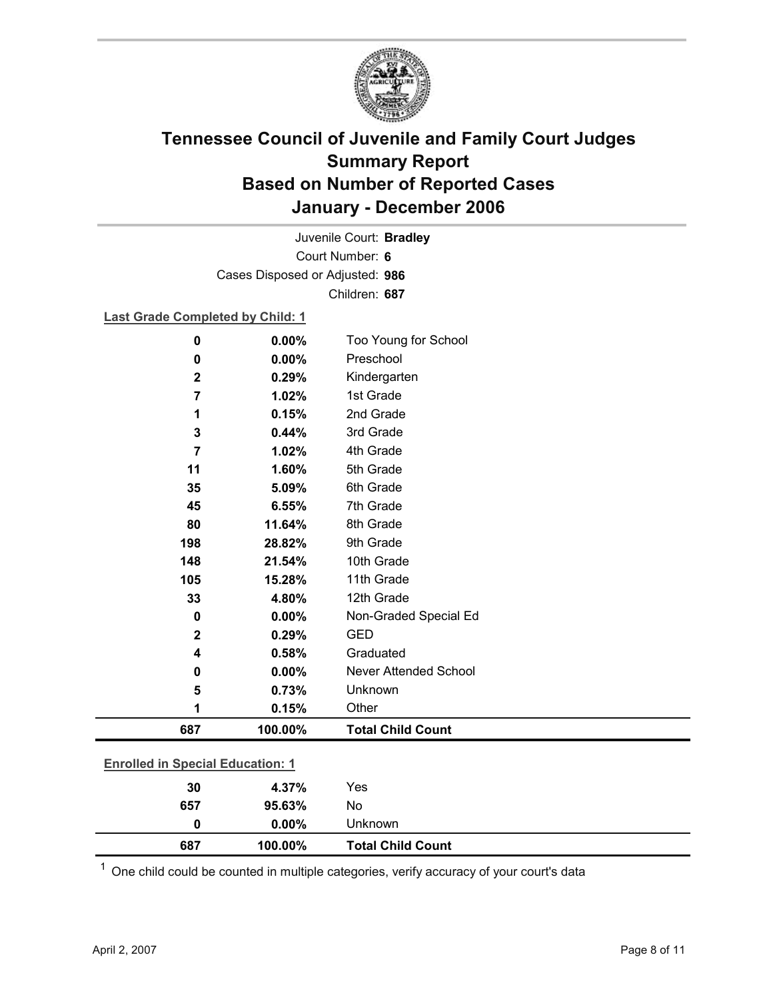

Court Number: **6** Juvenile Court: **Bradley** Cases Disposed or Adjusted: **986** Children: **687**

### **Last Grade Completed by Child: 1**

| $\mathbf 0$    | 0.00%                                   | Too Young for School     |  |  |
|----------------|-----------------------------------------|--------------------------|--|--|
| 0              | 0.00%                                   | Preschool                |  |  |
| $\mathbf 2$    | 0.29%                                   | Kindergarten             |  |  |
| $\overline{7}$ | 1.02%                                   | 1st Grade                |  |  |
| 1              | 0.15%                                   | 2nd Grade                |  |  |
| 3              | 0.44%                                   | 3rd Grade                |  |  |
| $\overline{7}$ | 1.02%                                   | 4th Grade                |  |  |
| 11             | 1.60%                                   | 5th Grade                |  |  |
| 35             | 5.09%                                   | 6th Grade                |  |  |
| 45             | 6.55%                                   | 7th Grade                |  |  |
| 80             | 11.64%                                  | 8th Grade                |  |  |
| 198            | 28.82%                                  | 9th Grade                |  |  |
| 148            | 21.54%                                  | 10th Grade               |  |  |
| 105            | 15.28%                                  | 11th Grade               |  |  |
| 33             | 4.80%                                   | 12th Grade               |  |  |
| 0              | 0.00%                                   | Non-Graded Special Ed    |  |  |
| $\mathbf{2}$   | 0.29%                                   | <b>GED</b>               |  |  |
| 4              | 0.58%                                   | Graduated                |  |  |
| 0              | 0.00%                                   | Never Attended School    |  |  |
| 5              | 0.73%                                   | Unknown                  |  |  |
| 1              | 0.15%                                   | Other                    |  |  |
| 687            | 100.00%                                 | <b>Total Child Count</b> |  |  |
|                | <b>Enrolled in Special Education: 1</b> |                          |  |  |
| 30             | 4.37%                                   | Yes                      |  |  |
| 657            | 95.63%                                  | No                       |  |  |

 $1$  One child could be counted in multiple categories, verify accuracy of your court's data

**0 0.00%** Unknown

**687 100.00% Total Child Count**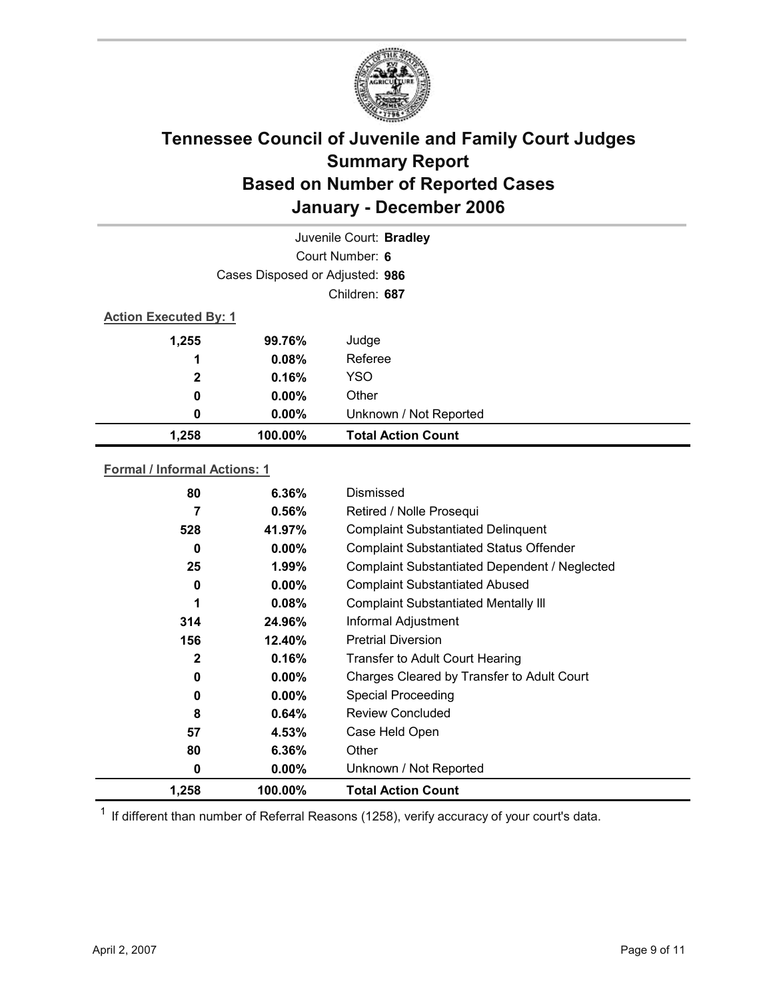

| Juvenile Court: Bradley |                                 |                           |  |  |
|-------------------------|---------------------------------|---------------------------|--|--|
|                         | Court Number: 6                 |                           |  |  |
|                         | Cases Disposed or Adjusted: 986 |                           |  |  |
|                         | Children: 687                   |                           |  |  |
|                         | <b>Action Executed By: 1</b>    |                           |  |  |
| 1,255                   | 99.76%                          | Judge                     |  |  |
| 1                       | 0.08%                           | Referee                   |  |  |
| $\mathbf{2}$            | 0.16%                           | <b>YSO</b>                |  |  |
| $\boldsymbol{0}$        | $0.00\%$                        | Other                     |  |  |
| 0                       | $0.00\%$                        | Unknown / Not Reported    |  |  |
| 1,258                   | 100.00%                         | <b>Total Action Count</b> |  |  |

### **Formal / Informal Actions: 1**

| 80           | $6.36\%$ | Dismissed                                      |
|--------------|----------|------------------------------------------------|
| 7            | 0.56%    | Retired / Nolle Prosequi                       |
| 528          | 41.97%   | <b>Complaint Substantiated Delinquent</b>      |
| 0            | $0.00\%$ | <b>Complaint Substantiated Status Offender</b> |
| 25           | $1.99\%$ | Complaint Substantiated Dependent / Neglected  |
| 0            | $0.00\%$ | <b>Complaint Substantiated Abused</b>          |
| 1            | $0.08\%$ | <b>Complaint Substantiated Mentally III</b>    |
| 314          | 24.96%   | Informal Adjustment                            |
| 156          | 12.40%   | <b>Pretrial Diversion</b>                      |
| $\mathbf{2}$ | 0.16%    | <b>Transfer to Adult Court Hearing</b>         |
| 0            | $0.00\%$ | Charges Cleared by Transfer to Adult Court     |
| 0            | $0.00\%$ | <b>Special Proceeding</b>                      |
| 8            | 0.64%    | <b>Review Concluded</b>                        |
| 57           | 4.53%    | Case Held Open                                 |
| 80           | 6.36%    | Other                                          |
| 0            | $0.00\%$ | Unknown / Not Reported                         |
| 1,258        | 100.00%  | <b>Total Action Count</b>                      |

 $1$  If different than number of Referral Reasons (1258), verify accuracy of your court's data.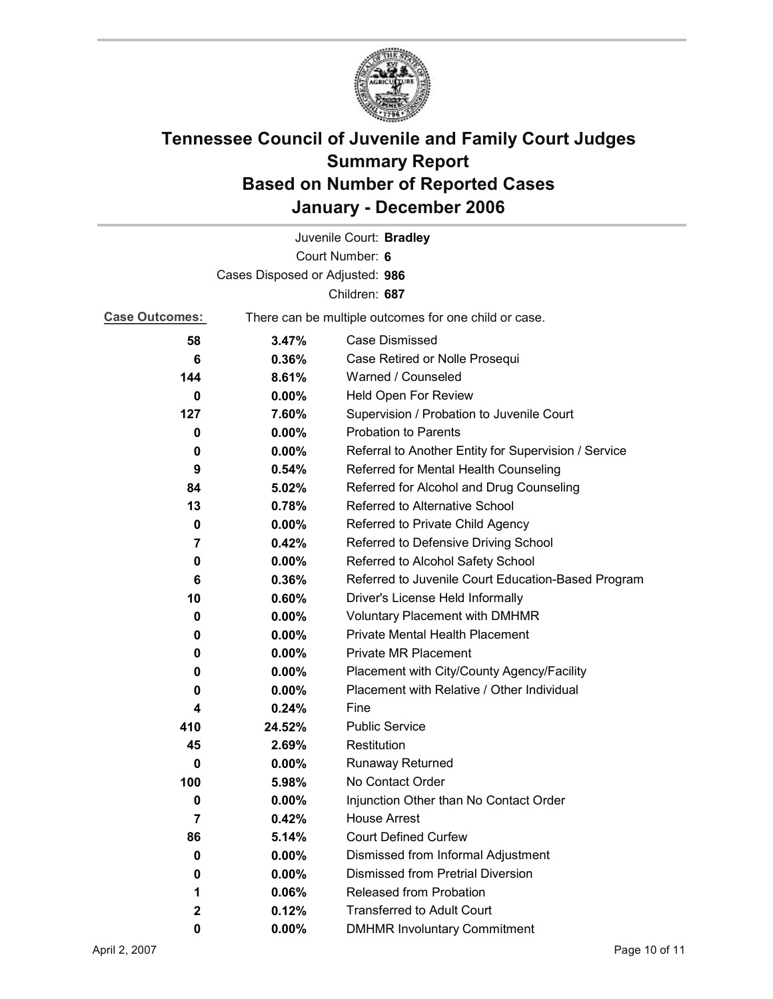

|                       |                                 | Juvenile Court: Bradley                               |
|-----------------------|---------------------------------|-------------------------------------------------------|
|                       |                                 | Court Number: 6                                       |
|                       | Cases Disposed or Adjusted: 986 |                                                       |
|                       |                                 | Children: 687                                         |
| <b>Case Outcomes:</b> |                                 | There can be multiple outcomes for one child or case. |
| 58                    | 3.47%                           | Case Dismissed                                        |
| 6                     | 0.36%                           | Case Retired or Nolle Prosequi                        |
| 144                   | 8.61%                           | Warned / Counseled                                    |
| 0                     | 0.00%                           | Held Open For Review                                  |
| 127                   | 7.60%                           | Supervision / Probation to Juvenile Court             |
| 0                     | 0.00%                           | <b>Probation to Parents</b>                           |
| 0                     | $0.00\%$                        | Referral to Another Entity for Supervision / Service  |
| 9                     | 0.54%                           | Referred for Mental Health Counseling                 |
| 84                    | 5.02%                           | Referred for Alcohol and Drug Counseling              |
| 13                    | 0.78%                           | Referred to Alternative School                        |
| 0                     | $0.00\%$                        | Referred to Private Child Agency                      |
| 7                     | 0.42%                           | Referred to Defensive Driving School                  |
| 0                     | $0.00\%$                        | Referred to Alcohol Safety School                     |
| 6                     | 0.36%                           | Referred to Juvenile Court Education-Based Program    |
| 10                    | 0.60%                           | Driver's License Held Informally                      |
| 0                     | $0.00\%$                        | <b>Voluntary Placement with DMHMR</b>                 |
| 0                     | $0.00\%$                        | <b>Private Mental Health Placement</b>                |
| 0                     | 0.00%                           | <b>Private MR Placement</b>                           |
| 0                     | $0.00\%$                        | Placement with City/County Agency/Facility            |
| 0                     | 0.00%                           | Placement with Relative / Other Individual            |
| 4                     | 0.24%                           | Fine                                                  |
| 410                   | 24.52%                          | <b>Public Service</b>                                 |
| 45                    | 2.69%                           | Restitution                                           |
| 0                     | $0.00\%$                        | <b>Runaway Returned</b>                               |
| 100                   | 5.98%                           | No Contact Order                                      |
| o                     | 0.00%                           | Injunction Other than No Contact Order                |
| 7                     | 0.42%                           | <b>House Arrest</b>                                   |
| 86                    | 5.14%                           | <b>Court Defined Curfew</b>                           |
| 0                     | $0.00\%$                        | Dismissed from Informal Adjustment                    |
| 0                     | 0.00%                           | <b>Dismissed from Pretrial Diversion</b>              |
| 1                     | 0.06%                           | Released from Probation                               |
| 2                     | 0.12%                           | <b>Transferred to Adult Court</b>                     |
| 0                     | $0.00\%$                        | <b>DMHMR Involuntary Commitment</b>                   |